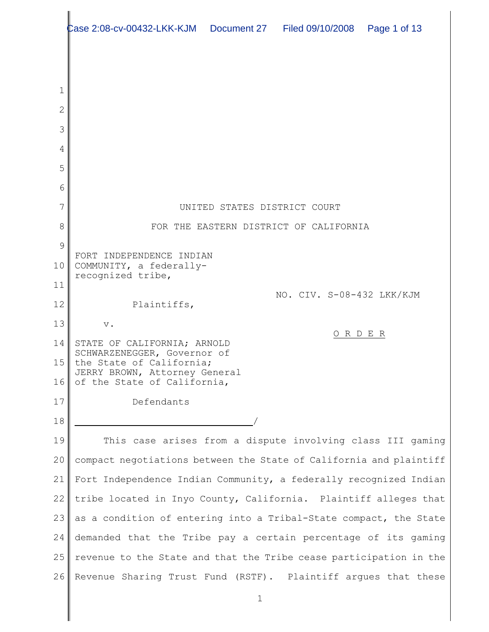|        | Page 1 of 13                                                       |
|--------|--------------------------------------------------------------------|
|        |                                                                    |
|        |                                                                    |
| 1      |                                                                    |
| 2      |                                                                    |
| 3      |                                                                    |
| 4      |                                                                    |
| 5      |                                                                    |
| 6      |                                                                    |
| 7      | UNITED STATES DISTRICT COURT                                       |
| 8<br>9 | FOR THE EASTERN DISTRICT OF CALIFORNIA                             |
| 10     | FORT INDEPENDENCE INDIAN<br>COMMUNITY, a federally-                |
| 11     | recognized tribe,                                                  |
| 12     | NO. CIV. S-08-432 LKK/KJM<br>Plaintiffs,                           |
| 13     | $\mathbf v$ .                                                      |
| 14     | ORDER<br>STATE OF CALIFORNIA; ARNOLD                               |
| 15     | SCHWARZENEGGER, Governor of<br>the State of California;            |
| 16     | JERRY BROWN, Attorney General<br>of the State of California,       |
| 17     | Defendants                                                         |
| 18     |                                                                    |
| 19     | This case arises from a dispute involving class III gaming         |
| 20     | compact negotiations between the State of California and plaintiff |
| 21     | Fort Independence Indian Community, a federally recognized Indian  |
| 22     | tribe located in Inyo County, California. Plaintiff alleges that   |
| 23     | as a condition of entering into a Tribal-State compact, the State  |
| 24     | demanded that the Tribe pay a certain percentage of its gaming     |
| 25     | revenue to the State and that the Tribe cease participation in the |
| 26     | Revenue Sharing Trust Fund (RSTF). Plaintiff argues that these     |
|        | $\mathbf 1$                                                        |
|        |                                                                    |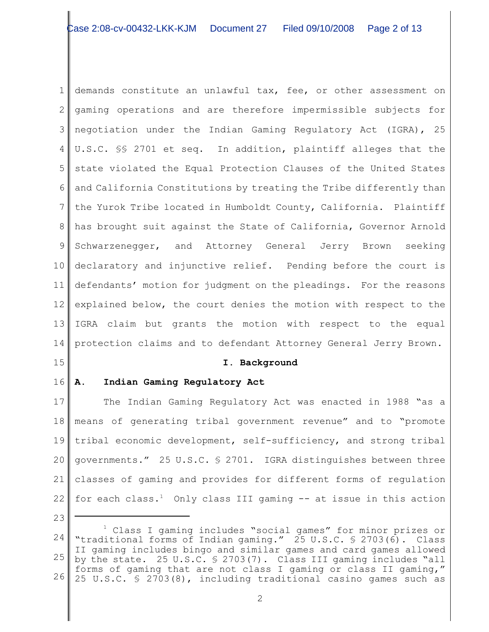1 2 3 4 5 6 7 8 9 10 11 12 13 14 demands constitute an unlawful tax, fee, or other assessment on gaming operations and are therefore impermissible subjects for negotiation under the Indian Gaming Regulatory Act (IGRA), 25 U.S.C. §§ 2701 et seq. In addition, plaintiff alleges that the state violated the Equal Protection Clauses of the United States and California Constitutions by treating the Tribe differently than the Yurok Tribe located in Humboldt County, California. Plaintiff has brought suit against the State of California, Governor Arnold Schwarzenegger, and Attorney General Jerry Brown seeking declaratory and injunctive relief. Pending before the court is defendants' motion for judgment on the pleadings. For the reasons explained below, the court denies the motion with respect to the IGRA claim but grants the motion with respect to the equal protection claims and to defendant Attorney General Jerry Brown.

15

## **I. Background**

### 16 **A. Indian Gaming Regulatory Act**

17 18 19 20 21 22 The Indian Gaming Regulatory Act was enacted in 1988 "as a means of generating tribal government revenue" and to "promote tribal economic development, self-sufficiency, and strong tribal governments." 25 U.S.C. § 2701. IGRA distinguishes between three classes of gaming and provides for different forms of regulation for each class.<sup>1</sup> Only class III gaming  $-$  at issue in this action

<sup>24</sup> 25 26 Class I gaming includes "social games" for minor prizes or <sup>1</sup> "traditional forms of Indian gaming." 25 U.S.C. § 2703(6). Class II gaming includes bingo and similar games and card games allowed by the state. 25 U.S.C. § 2703(7). Class III gaming includes "all forms of gaming that are not class I gaming or class II gaming," 25 U.S.C. § 2703(8), including traditional casino games such as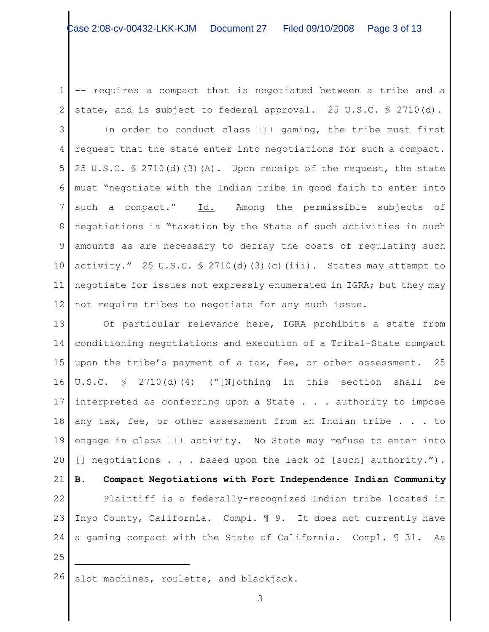1 2 -- requires a compact that is negotiated between a tribe and a state, and is subject to federal approval. 25 U.S.C. § 2710(d).

3 4 5 6 7 8 9 10 11 12 In order to conduct class III gaming, the tribe must first request that the state enter into negotiations for such a compact. 25 U.S.C.  $\frac{1}{2}$  2710(d)(3)(A). Upon receipt of the request, the state must "negotiate with the Indian tribe in good faith to enter into such a compact." Id. Among the permissible subjects of negotiations is "taxation by the State of such activities in such amounts as are necessary to defray the costs of regulating such activity." 25 U.S.C.  $\frac{1}{2}$  2710(d)(3)(c)(iii). States may attempt to negotiate for issues not expressly enumerated in IGRA; but they may not require tribes to negotiate for any such issue.

13 14 15 16 17 18 19 20 21 22 23 Inyo County, California. Compl. ¶ 9. It does not currently have 24 25 Of particular relevance here, IGRA prohibits a state from conditioning negotiations and execution of a Tribal-State compact upon the tribe's payment of a tax, fee, or other assessment. 25 U.S.C. § 2710(d)(4) ("[N]othing in this section shall be interpreted as conferring upon a State . . . authority to impose any tax, fee, or other assessment from an Indian tribe . . . to engage in class III activity. No State may refuse to enter into [] negotiations . . . based upon the lack of [such] authority."). **B. Compact Negotiations with Fort Independence Indian Community** Plaintiff is a federally-recognized Indian tribe located in a gaming compact with the State of California. Compl. ¶ 31. As

 $26$  slot machines, roulette, and blackjack.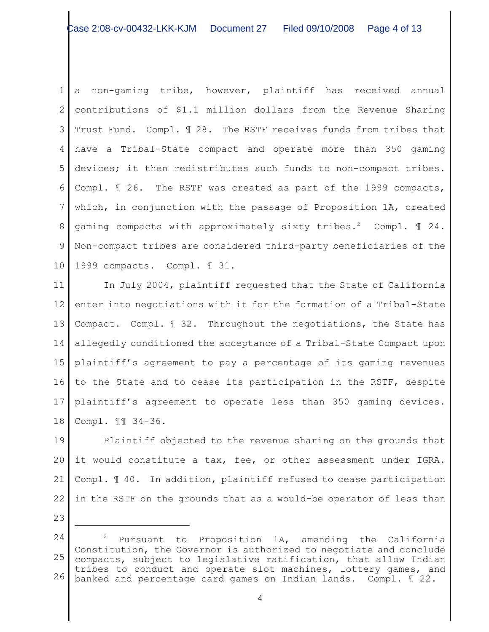1 2 3 4 5 6 7 8 9 10 a non-gaming tribe, however, plaintiff has received annual contributions of \$1.1 million dollars from the Revenue Sharing Trust Fund. Compl. ¶ 28. The RSTF receives funds from tribes that have a Tribal-State compact and operate more than 350 gaming devices; it then redistributes such funds to non-compact tribes. Compl. ¶ 26. The RSTF was created as part of the 1999 compacts, which, in conjunction with the passage of Proposition 1A, created gaming compacts with approximately sixty tribes.<sup>2</sup> Compl.  $\mathbb I$  24. Non-compact tribes are considered third-party beneficiaries of the 1999 compacts. Compl. ¶ 31.

11 12 13 14 15 16 to the State and to cease its participation in the RSTF, despite 17 18 In July 2004, plaintiff requested that the State of California enter into negotiations with it for the formation of a Tribal-State Compact. Compl. ¶ 32. Throughout the negotiations, the State has allegedly conditioned the acceptance of a Tribal-State Compact upon plaintiff's agreement to pay a percentage of its gaming revenues plaintiff's agreement to operate less than 350 gaming devices. Compl. ¶¶ 34-36.

19 20 21 22 Plaintiff objected to the revenue sharing on the grounds that it would constitute a tax, fee, or other assessment under IGRA. Compl. ¶ 40. In addition, plaintiff refused to cease participation in the RSTF on the grounds that as a would-be operator of less than

<sup>24</sup> 25 26 Pursuant to Proposition 1A, amending the California Constitution, the Governor is authorized to negotiate and conclude compacts, subject to legislative ratification, that allow Indian tribes to conduct and operate slot machines, lottery games, and banked and percentage card games on Indian lands. Compl. ¶ 22.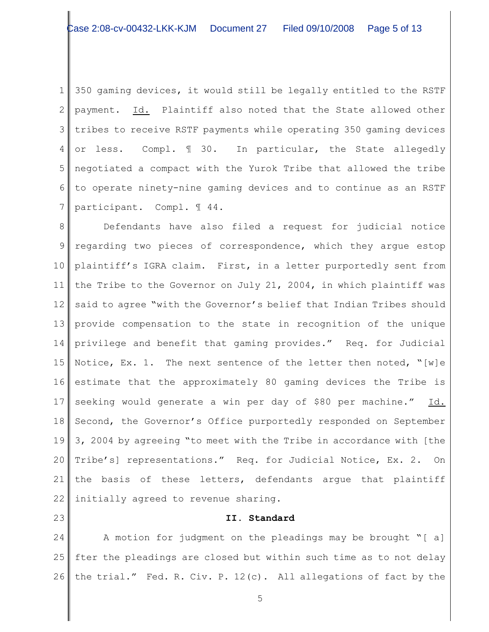1 2 3 4 5 6 7 350 gaming devices, it would still be legally entitled to the RSTF payment. Id. Plaintiff also noted that the State allowed other tribes to receive RSTF payments while operating 350 gaming devices or less. Compl. ¶ 30. In particular, the State allegedly negotiated a compact with the Yurok Tribe that allowed the tribe to operate ninety-nine gaming devices and to continue as an RSTF participant. Compl. ¶ 44.

8 9 10 11 12 13 14 15 16 17 18 19 20 21 22 Defendants have also filed a request for judicial notice regarding two pieces of correspondence, which they argue estop plaintiff's IGRA claim. First, in a letter purportedly sent from the Tribe to the Governor on July 21, 2004, in which plaintiff was said to agree "with the Governor's belief that Indian Tribes should provide compensation to the state in recognition of the unique privilege and benefit that gaming provides." Req. for Judicial Notice, Ex. 1. The next sentence of the letter then noted,  $\sqrt[n]{[w]}$ e estimate that the approximately 80 gaming devices the Tribe is seeking would generate a win per day of \$80 per machine." Id. Second, the Governor's Office purportedly responded on September 3, 2004 by agreeing "to meet with the Tribe in accordance with [the Tribe's] representations." Req. for Judicial Notice, Ex. 2. On the basis of these letters, defendants argue that plaintiff initially agreed to revenue sharing.

23

# **II. Standard**

24 25 26 A motion for judgment on the pleadings may be brought "[ a] fter the pleadings are closed but within such time as to not delay the trial." Fed. R. Civ. P. 12(c). All allegations of fact by the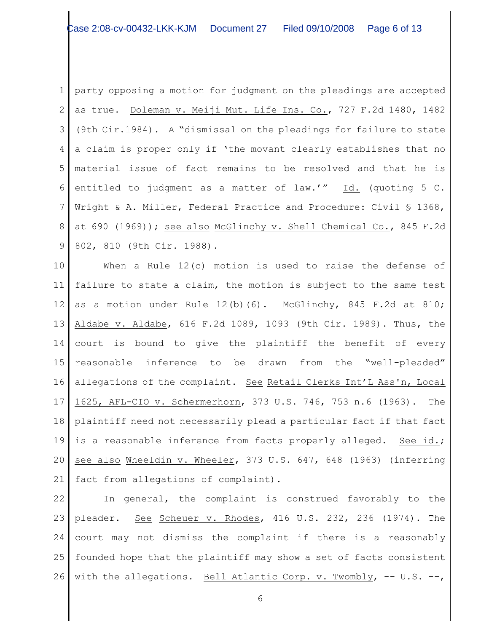1 2 3 4 5 6 7 8 9 party opposing a motion for judgment on the pleadings are accepted as true. Doleman v. Meiji Mut. Life Ins. Co., 727 F.2d 1480, 1482 (9th Cir.1984). A "dismissal on the pleadings for failure to state a claim is proper only if 'the movant clearly establishes that no material issue of fact remains to be resolved and that he is entitled to judgment as a matter of law.'" Id. (quoting 5 C. Wright & A. Miller, Federal Practice and Procedure: Civil § 1368, at 690 (1969)); see also McGlinchy v. Shell Chemical Co., 845 F.2d 802, 810 (9th Cir. 1988).

10 11 12 13 14 15 16 17 18 19 20 21 When a Rule  $12(c)$  motion is used to raise the defense of failure to state a claim, the motion is subject to the same test as a motion under Rule  $12(b)(6)$ . McGlinchy, 845 F.2d at 810; Aldabe v. Aldabe, 616 F.2d 1089, 1093 (9th Cir. 1989). Thus, the court is bound to give the plaintiff the benefit of every reasonable inference to be drawn from the "well-pleaded" allegations of the complaint. See Retail Clerks Int'L Ass'n, Local 1625, AFL-CIO v. Schermerhorn, 373 U.S. 746, 753 n.6 (1963). The plaintiff need not necessarily plead a particular fact if that fact is a reasonable inference from facts properly alleged. See id.; see also Wheeldin v. Wheeler, 373 U.S. 647, 648 (1963) (inferring fact from allegations of complaint).

22  $23$ 24 25 26 In general, the complaint is construed favorably to the pleader. See Scheuer v. Rhodes, 416 U.S. 232, 236 (1974). The court may not dismiss the complaint if there is a reasonably founded hope that the plaintiff may show a set of facts consistent with the allegations. Bell Atlantic Corp. v. Twombly, -- U.S. --,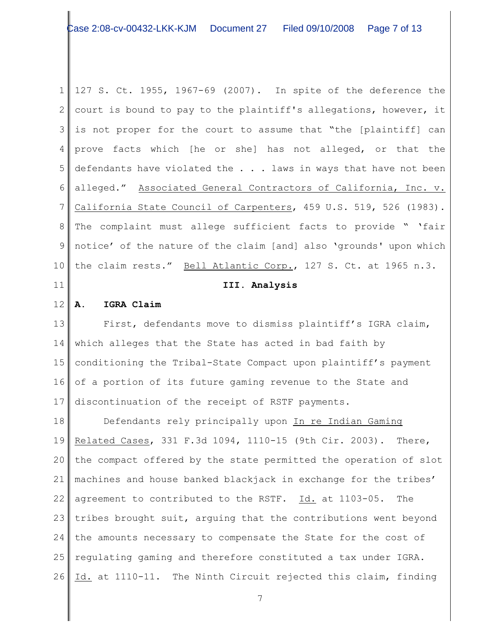1 2 3 is not proper for the court to assume that "the [plaintiff] can 4 5 6 7 8 9 10  $\parallel$  127 S. Ct. 1955, 1967-69 (2007). In spite of the deference the court is bound to pay to the plaintiff's allegations, however, it prove facts which [he or she] has not alleged, or that the defendants have violated the . . . laws in ways that have not been alleged." Associated General Contractors of California, Inc. v. California State Council of Carpenters, 459 U.S. 519, 526 (1983). The complaint must allege sufficient facts to provide " 'fair notice' of the nature of the claim [and] also 'grounds' upon which the claim rests." Bell Atlantic Corp., 127 S. Ct. at 1965 n.3.

## 11

## **III. Analysis**

#### 12 **A. IGRA Claim**

13 14 15 16 17 First, defendants move to dismiss plaintiff's IGRA claim, which alleges that the State has acted in bad faith by conditioning the Tribal-State Compact upon plaintiff's payment of a portion of its future gaming revenue to the State and discontinuation of the receipt of RSTF payments.

18 19 20 21 22 23 tribes brought suit, arguing that the contributions went beyond 24 25 26 Defendants rely principally upon In re Indian Gaming Related Cases, 331 F.3d 1094, 1110-15 (9th Cir. 2003). There, the compact offered by the state permitted the operation of slot machines and house banked blackjack in exchange for the tribes' agreement to contributed to the RSTF. Id. at 1103-05. The the amounts necessary to compensate the State for the cost of regulating gaming and therefore constituted a tax under IGRA. Id. at 1110-11. The Ninth Circuit rejected this claim, finding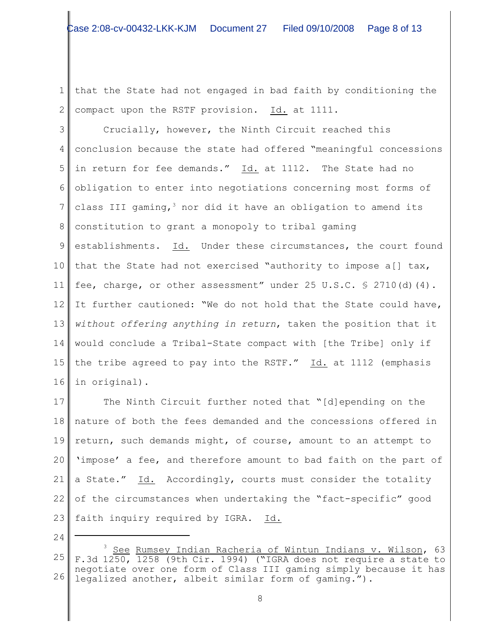1 2 that the State had not engaged in bad faith by conditioning the compact upon the RSTF provision. Id. at 1111.

3 4 5 6 7 8 9 10 11 12 13 14 15 16 Crucially, however, the Ninth Circuit reached this conclusion because the state had offered "meaningful concessions in return for fee demands." Id. at 1112. The State had no obligation to enter into negotiations concerning most forms of class III gaming,  $3$  nor did it have an obligation to amend its constitution to grant a monopoly to tribal gaming establishments. Id. Under these circumstances, the court found that the State had not exercised "authority to impose a[] tax, fee, charge, or other assessment" under 25 U.S.C. § 2710(d)(4). It further cautioned: "We do not hold that the State could have, *without offering anything in return*, taken the position that it would conclude a Tribal-State compact with [the Tribe] only if the tribe agreed to pay into the RSTF." Id. at 1112 (emphasis in original).

17 18 19 20 21 22 23 The Ninth Circuit further noted that "[d]epending on the nature of both the fees demanded and the concessions offered in return, such demands might, of course, amount to an attempt to 'impose' a fee, and therefore amount to bad faith on the part of a State." Id. Accordingly, courts must consider the totality of the circumstances when undertaking the "fact-specific" good faith inquiry required by IGRA. Id.

<sup>25</sup> 26  $^3$  See Rumsey Indian Racheria of Wintun Indians v. Wilson, 63 F.3d 1250, 1258 (9th Cir. 1994) ("IGRA does not require a state to negotiate over one form of Class III gaming simply because it has legalized another, albeit similar form of gaming.").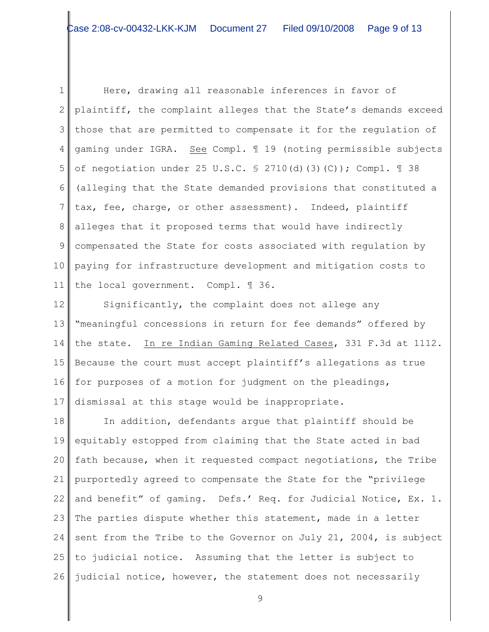1 2 3 4 5 6 7 8 9 10 11 Here, drawing all reasonable inferences in favor of plaintiff, the complaint alleges that the State's demands exceed those that are permitted to compensate it for the regulation of gaming under IGRA. See Compl. ¶ 19 (noting permissible subjects of negotiation under 25 U.S.C.  $\frac{1}{2}$  2710(d)(3)(C)); Compl.  $\frac{1}{2}$  38 (alleging that the State demanded provisions that constituted a tax, fee, charge, or other assessment). Indeed, plaintiff alleges that it proposed terms that would have indirectly compensated the State for costs associated with regulation by paying for infrastructure development and mitigation costs to the local government. Compl. ¶ 36.

12 13 14 15 16 17 Significantly, the complaint does not allege any "meaningful concessions in return for fee demands" offered by the state. In re Indian Gaming Related Cases, 331 F.3d at 1112. Because the court must accept plaintiff's allegations as true for purposes of a motion for judgment on the pleadings, dismissal at this stage would be inappropriate.

18 19 20 21 22 23 24 25 26 In addition, defendants argue that plaintiff should be equitably estopped from claiming that the State acted in bad fath because, when it requested compact negotiations, the Tribe purportedly agreed to compensate the State for the "privilege and benefit" of gaming. Defs.' Req. for Judicial Notice, Ex. 1. The parties dispute whether this statement, made in a letter sent from the Tribe to the Governor on July 21, 2004, is subject to judicial notice. Assuming that the letter is subject to judicial notice, however, the statement does not necessarily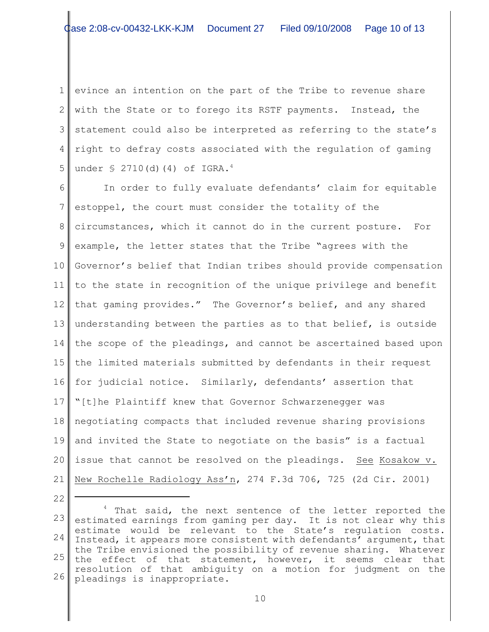1 2 3 4 5 evince an intention on the part of the Tribe to revenue share with the State or to forego its RSTF payments. Instead, the statement could also be interpreted as referring to the state's right to defray costs associated with the regulation of gaming under  $\S$  2710(d)(4) of IGRA.<sup>4</sup>

6 7 8 9 10 11 12 13 14 15 16 for judicial notice. Similarly, defendants' assertion that 17 18 19 20 21 In order to fully evaluate defendants' claim for equitable estoppel, the court must consider the totality of the circumstances, which it cannot do in the current posture. For example, the letter states that the Tribe "agrees with the Governor's belief that Indian tribes should provide compensation to the state in recognition of the unique privilege and benefit that gaming provides." The Governor's belief, and any shared understanding between the parties as to that belief, is outside the scope of the pleadings, and cannot be ascertained based upon the limited materials submitted by defendants in their request "[t]he Plaintiff knew that Governor Schwarzenegger was negotiating compacts that included revenue sharing provisions and invited the State to negotiate on the basis" is a factual issue that cannot be resolved on the pleadings. See Kosakow v. New Rochelle Radiology Ass'n, 274 F.3d 706, 725 (2d Cir. 2001)

22

<sup>23</sup> 24 25 26  $4$  That said, the next sentence of the letter reported the estimated earnings from gaming per day. It is not clear why this estimate would be relevant to the State's regulation costs. Instead, it appears more consistent with defendants' argument, that the Tribe envisioned the possibility of revenue sharing. Whatever the effect of that statement, however, it seems clear that resolution of that ambiguity on a motion for judgment on the pleadings is inappropriate.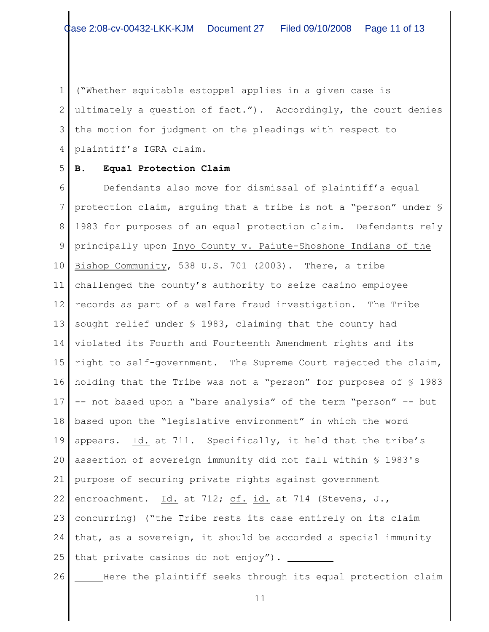1 2 3 the motion for judgment on the pleadings with respect to 4 ("Whether equitable estoppel applies in a given case is ultimately a question of fact."). Accordingly, the court denies plaintiff's IGRA claim.

#### 5 **B. Equal Protection Claim**

6 7 8 9 10 11 12 13 14 15 16 holding that the Tribe was not a "person" for purposes of § 1983 17 18 19 20 21 22 23 concurring) ("the Tribe rests its case entirely on its claim 24 25 Defendants also move for dismissal of plaintiff's equal protection claim, arguing that a tribe is not a "person" under § 1983 for purposes of an equal protection claim. Defendants rely principally upon Inyo County v. Paiute-Shoshone Indians of the Bishop Community, 538 U.S. 701 (2003). There, a tribe challenged the county's authority to seize casino employee records as part of a welfare fraud investigation. The Tribe sought relief under § 1983, claiming that the county had violated its Fourth and Fourteenth Amendment rights and its right to self-government. The Supreme Court rejected the claim, -- not based upon a "bare analysis" of the term "person" –- but based upon the "legislative environment" in which the word appears. Id. at 711. Specifically, it held that the tribe's assertion of sovereign immunity did not fall within § 1983's purpose of securing private rights against government encroachment. Id. at 712; cf. id. at 714 (Stevens, J., that, as a sovereign, it should be accorded a special immunity that private casinos do not enjoy").

26

Here the plaintiff seeks through its equal protection claim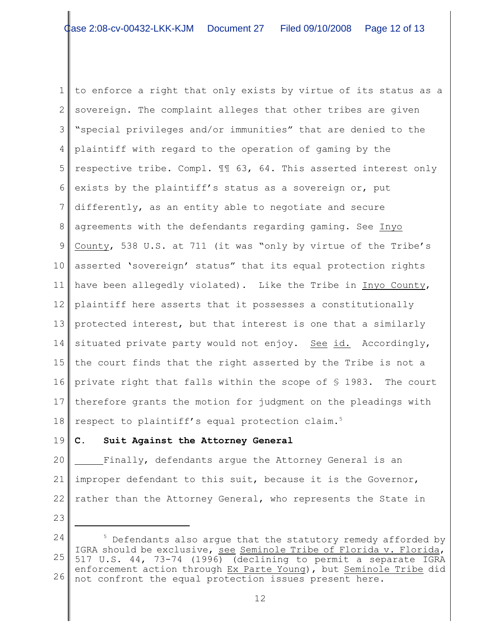1 2 3 4 5 6 7 8 9 10 11 12 13 14 15 16 private right that falls within the scope of § 1983. The court 17 18 to enforce a right that only exists by virtue of its status as a sovereign. The complaint alleges that other tribes are given "special privileges and/or immunities" that are denied to the plaintiff with regard to the operation of gaming by the respective tribe. Compl. ¶¶ 63, 64. This asserted interest only exists by the plaintiff's status as a sovereign or, put differently, as an entity able to negotiate and secure agreements with the defendants regarding gaming. See Inyo County, 538 U.S. at 711 (it was "only by virtue of the Tribe's asserted 'sovereign' status" that its equal protection rights have been allegedly violated). Like the Tribe in Inyo County, plaintiff here asserts that it possesses a constitutionally protected interest, but that interest is one that a similarly situated private party would not enjoy. See id. Accordingly, the court finds that the right asserted by the Tribe is not a therefore grants the motion for judgment on the pleadings with respect to plaintiff's equal protection claim.<sup>5</sup>

### 19 **C. Suit Against the Attorney General**

20 21 22 Finally, defendants argue the Attorney General is an improper defendant to this suit, because it is the Governor, rather than the Attorney General, who represents the State in

<sup>24</sup> 25 26 Defendants also argue that the statutory remedy afforded by IGRA should be exclusive, see Seminole Tribe of Florida v. Florida, 517 U.S. 44, 73-74 (1996) (declining to permit a separate IGRA enforcement action through Ex Parte Young), but Seminole Tribe did not confront the equal protection issues present here.